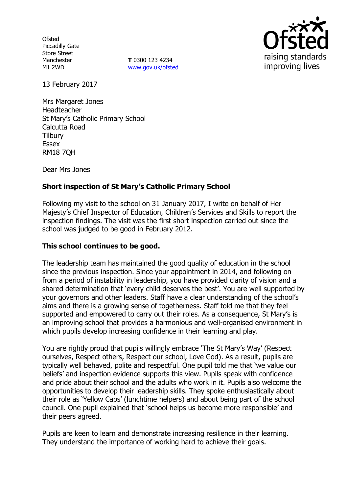**Ofsted** Piccadilly Gate Store Street Manchester M1 2WD

**T** 0300 123 4234 www.gov.uk/ofsted



13 February 2017

Mrs Margaret Jones Headteacher St Mary's Catholic Primary School Calcutta Road **Tilbury** Essex RM18 7QH

Dear Mrs Jones

# **Short inspection of St Mary's Catholic Primary School**

Following my visit to the school on 31 January 2017, I write on behalf of Her Majesty's Chief Inspector of Education, Children's Services and Skills to report the inspection findings. The visit was the first short inspection carried out since the school was judged to be good in February 2012.

## **This school continues to be good.**

The leadership team has maintained the good quality of education in the school since the previous inspection. Since your appointment in 2014, and following on from a period of instability in leadership, you have provided clarity of vision and a shared determination that 'every child deserves the best'. You are well supported by your governors and other leaders. Staff have a clear understanding of the school's aims and there is a growing sense of togetherness. Staff told me that they feel supported and empowered to carry out their roles. As a consequence, St Mary's is an improving school that provides a harmonious and well-organised environment in which pupils develop increasing confidence in their learning and play.

You are rightly proud that pupils willingly embrace 'The St Mary's Way' (Respect ourselves, Respect others, Respect our school, Love God). As a result, pupils are typically well behaved, polite and respectful. One pupil told me that 'we value our beliefs' and inspection evidence supports this view. Pupils speak with confidence and pride about their school and the adults who work in it. Pupils also welcome the opportunities to develop their leadership skills. They spoke enthusiastically about their role as 'Yellow Caps' (lunchtime helpers) and about being part of the school council. One pupil explained that 'school helps us become more responsible' and their peers agreed.

Pupils are keen to learn and demonstrate increasing resilience in their learning. They understand the importance of working hard to achieve their goals.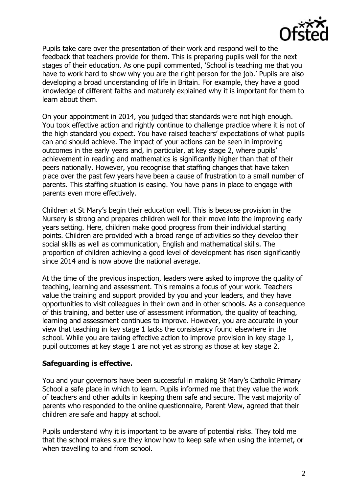

Pupils take care over the presentation of their work and respond well to the feedback that teachers provide for them. This is preparing pupils well for the next stages of their education. As one pupil commented, 'School is teaching me that you have to work hard to show why you are the right person for the job.' Pupils are also developing a broad understanding of life in Britain. For example, they have a good knowledge of different faiths and maturely explained why it is important for them to learn about them.

On your appointment in 2014, you judged that standards were not high enough. You took effective action and rightly continue to challenge practice where it is not of the high standard you expect. You have raised teachers' expectations of what pupils can and should achieve. The impact of your actions can be seen in improving outcomes in the early years and, in particular, at key stage 2, where pupils' achievement in reading and mathematics is significantly higher than that of their peers nationally. However, you recognise that staffing changes that have taken place over the past few years have been a cause of frustration to a small number of parents. This staffing situation is easing. You have plans in place to engage with parents even more effectively.

Children at St Mary's begin their education well. This is because provision in the Nursery is strong and prepares children well for their move into the improving early years setting. Here, children make good progress from their individual starting points. Children are provided with a broad range of activities so they develop their social skills as well as communication, English and mathematical skills. The proportion of children achieving a good level of development has risen significantly since 2014 and is now above the national average.

At the time of the previous inspection, leaders were asked to improve the quality of teaching, learning and assessment. This remains a focus of your work. Teachers value the training and support provided by you and your leaders, and they have opportunities to visit colleagues in their own and in other schools. As a consequence of this training, and better use of assessment information, the quality of teaching, learning and assessment continues to improve. However, you are accurate in your view that teaching in key stage 1 lacks the consistency found elsewhere in the school. While you are taking effective action to improve provision in key stage 1, pupil outcomes at key stage 1 are not yet as strong as those at key stage 2.

## **Safeguarding is effective.**

You and your governors have been successful in making St Mary's Catholic Primary School a safe place in which to learn. Pupils informed me that they value the work of teachers and other adults in keeping them safe and secure. The vast majority of parents who responded to the online questionnaire, Parent View, agreed that their children are safe and happy at school.

Pupils understand why it is important to be aware of potential risks. They told me that the school makes sure they know how to keep safe when using the internet, or when travelling to and from school.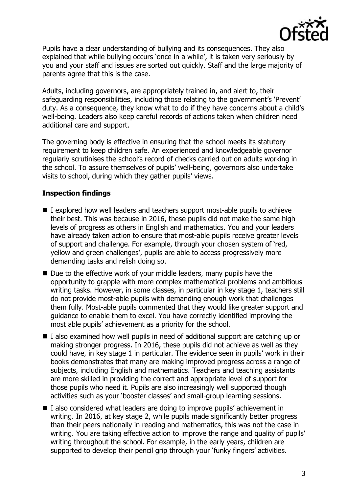

Pupils have a clear understanding of bullying and its consequences. They also explained that while bullying occurs 'once in a while', it is taken very seriously by you and your staff and issues are sorted out quickly. Staff and the large majority of parents agree that this is the case.

Adults, including governors, are appropriately trained in, and alert to, their safeguarding responsibilities, including those relating to the government's 'Prevent' duty. As a consequence, they know what to do if they have concerns about a child's well-being. Leaders also keep careful records of actions taken when children need additional care and support.

The governing body is effective in ensuring that the school meets its statutory requirement to keep children safe. An experienced and knowledgeable governor regularly scrutinises the school's record of checks carried out on adults working in the school. To assure themselves of pupils' well-being, governors also undertake visits to school, during which they gather pupils' views.

# **Inspection findings**

- I explored how well leaders and teachers support most-able pupils to achieve their best. This was because in 2016, these pupils did not make the same high levels of progress as others in English and mathematics. You and your leaders have already taken action to ensure that most-able pupils receive greater levels of support and challenge. For example, through your chosen system of 'red, yellow and green challenges', pupils are able to access progressively more demanding tasks and relish doing so.
- $\blacksquare$  Due to the effective work of your middle leaders, many pupils have the opportunity to grapple with more complex mathematical problems and ambitious writing tasks. However, in some classes, in particular in key stage 1, teachers still do not provide most-able pupils with demanding enough work that challenges them fully. Most-able pupils commented that they would like greater support and guidance to enable them to excel. You have correctly identified improving the most able pupils' achievement as a priority for the school.
- I also examined how well pupils in need of additional support are catching up or making stronger progress. In 2016, these pupils did not achieve as well as they could have, in key stage 1 in particular. The evidence seen in pupils' work in their books demonstrates that many are making improved progress across a range of subjects, including English and mathematics. Teachers and teaching assistants are more skilled in providing the correct and appropriate level of support for those pupils who need it. Pupils are also increasingly well supported though activities such as your 'booster classes' and small-group learning sessions.
- I also considered what leaders are doing to improve pupils' achievement in writing. In 2016, at key stage 2, while pupils made significantly better progress than their peers nationally in reading and mathematics, this was not the case in writing. You are taking effective action to improve the range and quality of pupils' writing throughout the school. For example, in the early years, children are supported to develop their pencil grip through your 'funky fingers' activities.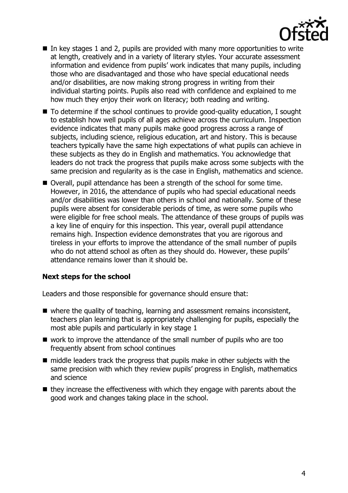

- $\blacksquare$  In key stages 1 and 2, pupils are provided with many more opportunities to write at length, creatively and in a variety of literary styles. Your accurate assessment information and evidence from pupils' work indicates that many pupils, including those who are disadvantaged and those who have special educational needs and/or disabilities, are now making strong progress in writing from their individual starting points. Pupils also read with confidence and explained to me how much they enjoy their work on literacy; both reading and writing.
- To determine if the school continues to provide good-quality education, I sought to establish how well pupils of all ages achieve across the curriculum. Inspection evidence indicates that many pupils make good progress across a range of subjects, including science, religious education, art and history. This is because teachers typically have the same high expectations of what pupils can achieve in these subjects as they do in English and mathematics. You acknowledge that leaders do not track the progress that pupils make across some subjects with the same precision and regularity as is the case in English, mathematics and science.
- Overall, pupil attendance has been a strength of the school for some time. However, in 2016, the attendance of pupils who had special educational needs and/or disabilities was lower than others in school and nationally. Some of these pupils were absent for considerable periods of time, as were some pupils who were eligible for free school meals. The attendance of these groups of pupils was a key line of enquiry for this inspection. This year, overall pupil attendance remains high. Inspection evidence demonstrates that you are rigorous and tireless in your efforts to improve the attendance of the small number of pupils who do not attend school as often as they should do. However, these pupils' attendance remains lower than it should be.

## **Next steps for the school**

Leaders and those responsible for governance should ensure that:

- where the quality of teaching, learning and assessment remains inconsistent, teachers plan learning that is appropriately challenging for pupils, especially the most able pupils and particularly in key stage 1
- work to improve the attendance of the small number of pupils who are too frequently absent from school continues
- $\blacksquare$  middle leaders track the progress that pupils make in other subjects with the same precision with which they review pupils' progress in English, mathematics and science
- $\blacksquare$  they increase the effectiveness with which they engage with parents about the good work and changes taking place in the school.